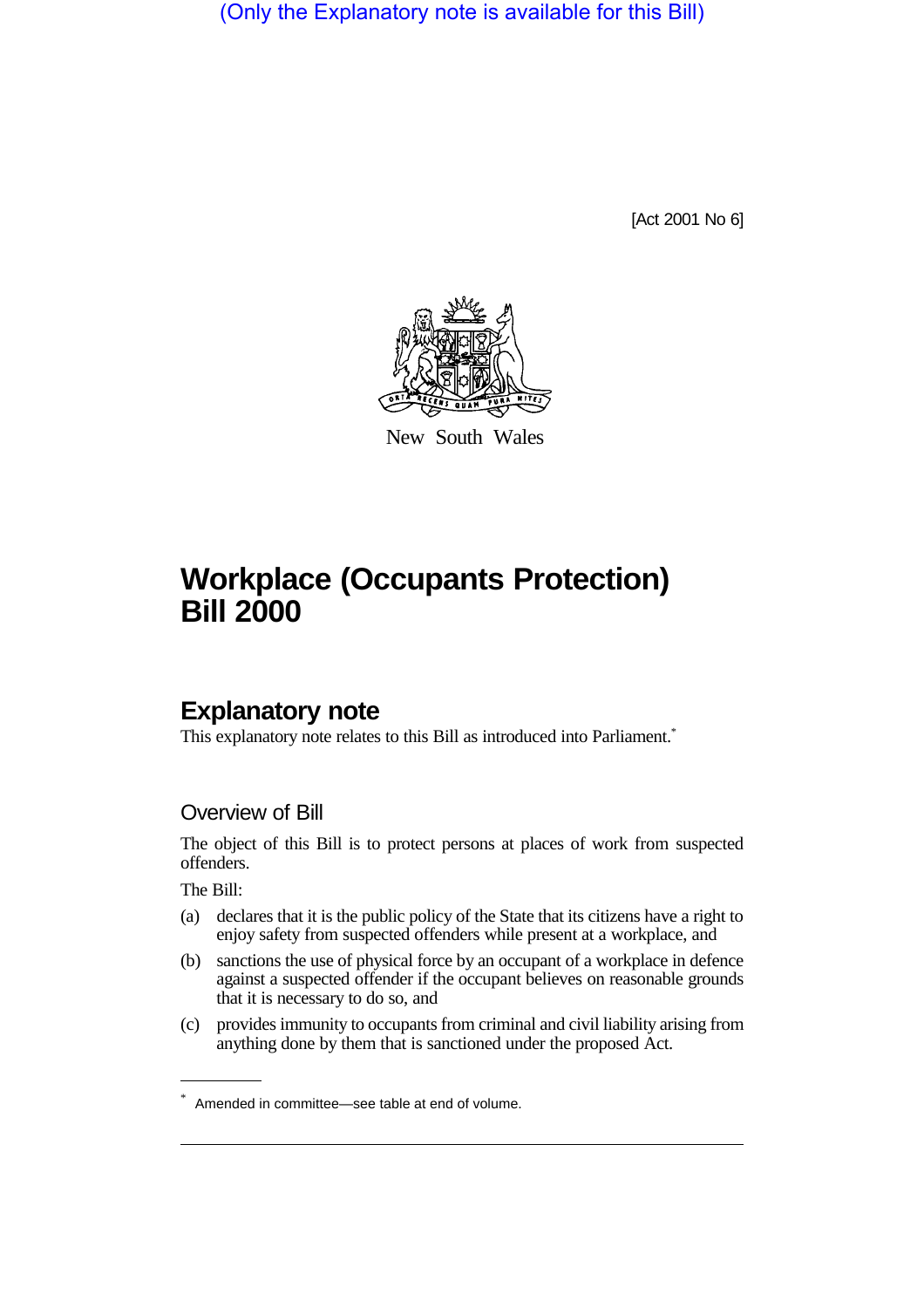(Only the Explanatory note is available for this Bill)

[Act 2001 No 6]



New South Wales

# **Workplace (Occupants Protection) Bill 2000**

### **Explanatory note**

This explanatory note relates to this Bill as introduced into Parliament.<sup>\*</sup>

#### Overview of Bill

The object of this Bill is to protect persons at places of work from suspected offenders.

The Bill:

- (a) declares that it is the public policy of the State that its citizens have a right to enjoy safety from suspected offenders while present at a workplace, and
- (b) sanctions the use of physical force by an occupant of a workplace in defence against a suspected offender if the occupant believes on reasonable grounds that it is necessary to do so, and
- (c) provides immunity to occupants from criminal and civil liability arising from anything done by them that is sanctioned under the proposed Act.

<sup>\*</sup> Amended in committee—see table at end of volume.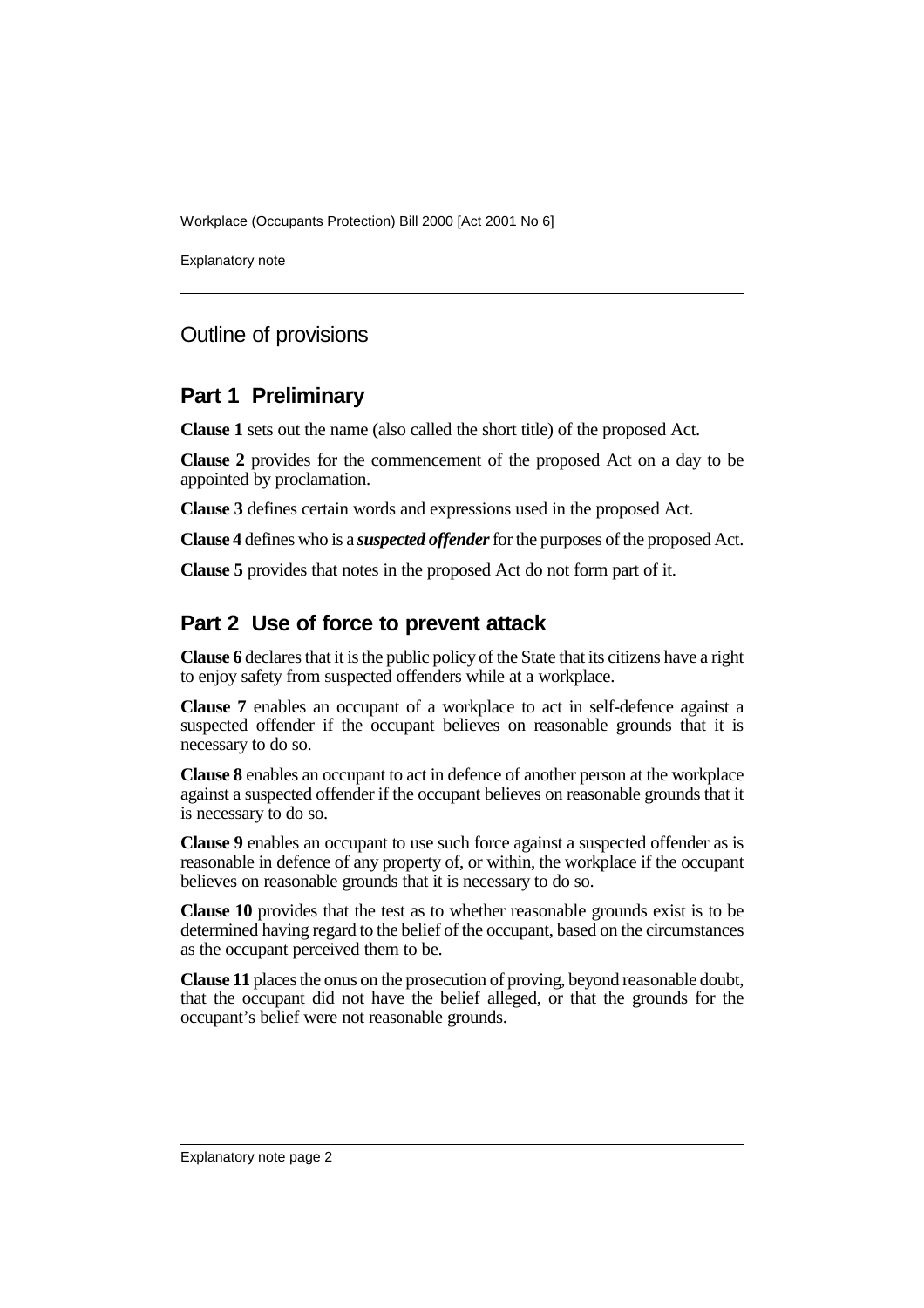Workplace (Occupants Protection) Bill 2000 [Act 2001 No 6]

Explanatory note

#### Outline of provisions

#### **Part 1 Preliminary**

**Clause 1** sets out the name (also called the short title) of the proposed Act.

**Clause 2** provides for the commencement of the proposed Act on a day to be appointed by proclamation.

**Clause 3** defines certain words and expressions used in the proposed Act.

**Clause 4** defines who is a *suspected offender* for the purposes of the proposed Act.

**Clause 5** provides that notes in the proposed Act do not form part of it.

#### **Part 2 Use of force to prevent attack**

**Clause 6** declares that it is the public policy of the State that its citizens have a right to enjoy safety from suspected offenders while at a workplace.

**Clause 7** enables an occupant of a workplace to act in self-defence against a suspected offender if the occupant believes on reasonable grounds that it is necessary to do so.

**Clause 8** enables an occupant to act in defence of another person at the workplace against a suspected offender if the occupant believes on reasonable grounds that it is necessary to do so.

**Clause 9** enables an occupant to use such force against a suspected offender as is reasonable in defence of any property of, or within, the workplace if the occupant believes on reasonable grounds that it is necessary to do so.

**Clause 10** provides that the test as to whether reasonable grounds exist is to be determined having regard to the belief of the occupant, based on the circumstances as the occupant perceived them to be.

**Clause 11** places the onus on the prosecution of proving, beyond reasonable doubt, that the occupant did not have the belief alleged, or that the grounds for the occupant's belief were not reasonable grounds.